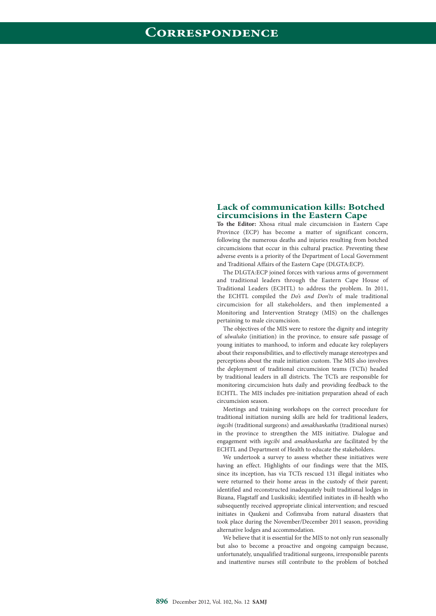## **Lack of communication kills: Botched circumcisions in the Eastern Cape**

**To the Editor:** Xhosa ritual male circumcision in Eastern Cape Province (ECP) has become a matter of significant concern, following the numerous deaths and injuries resulting from botched circumcisions that occur in this cultural practice. Preventing these adverse events is a priority of the Department of Local Government and Traditional Affairs of the Eastern Cape (DLGTA:ECP).

The DLGTA:ECP joined forces with various arms of government and traditional leaders through the Eastern Cape House of Traditional Leaders (ECHTL) to address the problem. In 2011, the ECHTL compiled the *Do's and Don'ts* of male traditional circumcision for all stakeholders, and then implemented a Monitoring and Intervention Strategy (MIS) on the challenges pertaining to male circumcision.

The objectives of the MIS were to restore the dignity and integrity of *ulwaluko* (initiation) in the province, to ensure safe passage of young initiates to manhood, to inform and educate key roleplayers about their responsibilities, and to effectively manage stereotypes and perceptions about the male initiation custom. The MIS also involves the deployment of traditional circumcision teams (TCTs) headed by traditional leaders in all districts. The TCTs are responsible for monitoring circumcision huts daily and providing feedback to the ECHTL. The MIS includes pre-initiation preparation ahead of each circumcision season.

Meetings and training workshops on the correct procedure for traditional initiation nursing skills are held for traditional leaders, *ingcibi* (traditional surgeons) and *amakhankatha* (traditional nurses) in the province to strengthen the MIS initiative. Dialogue and engagement with *ingcibi* and *amakhankatha* are facilitated by the ECHTL and Department of Health to educate the stakeholders.

We undertook a survey to assess whether these initiatives were having an effect. Highlights of our findings were that the MIS, since its inception, has via TCTs rescued 131 illegal initiates who were returned to their home areas in the custody of their parent; identified and reconstructed inadequately built traditional lodges in Bizana, Flagstaff and Lusikisiki; identified initiates in ill-health who subsequently received appropriate clinical intervention; and rescued initiates in Qaukeni and Cofimvaba from natural disasters that took place during the November/December 2011 season, providing alternative lodges and accommodation.

We believe that it is essential for the MIS to not only run seasonally but also to become a proactive and ongoing campaign because, unfortunately, unqualified traditional surgeons, irresponsible parents and inattentive nurses still contribute to the problem of botched